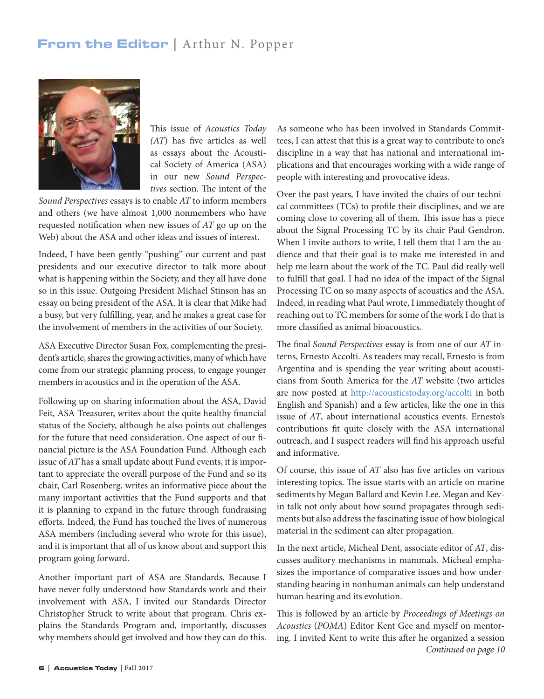## From the Editor | Arthur N. Popper



This issue of *Acoustics Today (AT*) has five articles as well as essays about the Acoustical Society of America (ASA) in our new *Sound Perspectives* section. The intent of the

*Sound Perspectives* essays is to enable *AT* to inform members and others (we have almost 1,000 nonmembers who have requested notification when new issues of *AT* go up on the Web) about the ASA and other ideas and issues of interest.

Indeed, I have been gently "pushing" our current and past presidents and our executive director to talk more about what is happening within the Society, and they all have done so in this issue. Outgoing President Michael Stinson has an essay on being president of the ASA. It is clear that Mike had a busy, but very fulfilling, year, and he makes a great case for the involvement of members in the activities of our Society.

ASA Executive Director Susan Fox, complementing the president's article, shares the growing activities, many of which have come from our strategic planning process, to engage younger members in acoustics and in the operation of the ASA.

Following up on sharing information about the ASA, David Feit, ASA Treasurer, writes about the quite healthy financial status of the Society, although he also points out challenges for the future that need consideration. One aspect of our financial picture is the ASA Foundation Fund. Although each issue of *AT* has a small update about Fund events, it is important to appreciate the overall purpose of the Fund and so its chair, Carl Rosenberg, writes an informative piece about the many important activities that the Fund supports and that it is planning to expand in the future through fundraising efforts. Indeed, the Fund has touched the lives of numerous ASA members (including several who wrote for this issue), and it is important that all of us know about and support this program going forward.

Another important part of ASA are Standards. Because I have never fully understood how Standards work and their involvement with ASA, I invited our Standards Director Christopher Struck to write about that program. Chris explains the Standards Program and, importantly, discusses why members should get involved and how they can do this.

As someone who has been involved in Standards Committees, I can attest that this is a great way to contribute to one's discipline in a way that has national and international implications and that encourages working with a wide range of people with interesting and provocative ideas.

Over the past years, I have invited the chairs of our technical committees (TCs) to profile their disciplines, and we are coming close to covering all of them. This issue has a piece about the Signal Processing TC by its chair Paul Gendron. When I invite authors to write, I tell them that I am the audience and that their goal is to make me interested in and help me learn about the work of the TC. Paul did really well to fulfill that goal. I had no idea of the impact of the Signal Processing TC on so many aspects of acoustics and the ASA. Indeed, in reading what Paul wrote, I immediately thought of reaching out to TC members for some of the work I do that is more classified as animal bioacoustics.

The final *Sound Perspectives* essay is from one of our *AT* interns, Ernesto Accolti. As readers may recall, Ernesto is from Argentina and is spending the year writing about acousticians from South America for the *AT* website (two articles are now posted at http://acousticstoday.org/accolti in both English and Spanish) and a few articles, like the one in this issue of *AT*, about international acoustics events. Ernesto's contributions fit quite closely with the ASA international outreach, and I suspect readers will find his approach useful and informative.

Of course, this issue of *AT* also has five articles on various interesting topics. The issue starts with an article on marine sediments by Megan Ballard and Kevin Lee. Megan and Kevin talk not only about how sound propagates through sediments but also address the fascinating issue of how biological material in the sediment can alter propagation.

In the next article, Micheal Dent, associate editor of *AT*, discusses auditory mechanisms in mammals. Micheal emphasizes the importance of comparative issues and how understanding hearing in nonhuman animals can help understand human hearing and its evolution.

This is followed by an article by *Proceedings of Meetings on Acoustics* (*POMA*) Editor Kent Gee and myself on mentoring. I invited Kent to write this after he organized a session *Continued on page 10*